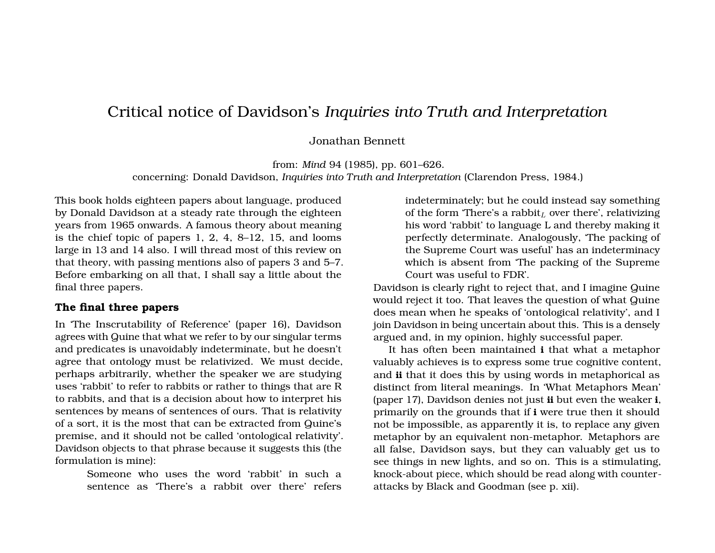# Critical notice of Davidson's *Inquiries into Truth and Interpretation*

#### Jonathan Bennett

from: *Mind* 94 (1985), pp. 601–626.

concerning: Donald Davidson, *Inquiries into Truth and Interpretation* (Clarendon Press, 1984.)

This book holds eighteen papers about language, produced by Donald Davidson at a steady rate through the eighteen years from 1965 onwards. A famous theory about meaning is the chief topic of papers 1, 2, 4, 8–12, 15, and looms large in 13 and 14 also. I will thread most of this review on that theory, with passing mentions also of papers 3 and 5–7. Before embarking on all that, I shall say a little about the final three papers.

# **The final three papers**

In 'The Inscrutability of Reference' (paper 16), Davidson agrees with Quine that what we refer to by our singular terms and predicates is unavoidably indeterminate, but he doesn't agree that ontology must be relativized. We must decide, perhaps arbitrarily, whether the speaker we are studying uses 'rabbit' to refer to rabbits or rather to things that are R to rabbits, and that is a decision about how to interpret his sentences by means of sentences of ours. That is relativity of a sort, it is the most that can be extracted from Quine's premise, and it should not be called 'ontological relativity'. Davidson objects to that phrase because it suggests this (the formulation is mine):

> Someone who uses the word 'rabbit' in such a sentence as 'There's a rabbit over there' refers

indeterminately; but he could instead say something of the form 'There's a rabbit<sub>L</sub> over there', relativizing his word 'rabbit' to language L and thereby making it perfectly determinate. Analogously, 'The packing of the Supreme Court was useful' has an indeterminacy which is absent from 'The packing of the Supreme Court was useful to FDR'.

Davidson is clearly right to reject that, and I imagine Quine would reject it too. That leaves the question of what Quine does mean when he speaks of 'ontological relativity', and I join Davidson in being uncertain about this. This is a densely argued and, in my opinion, highly successful paper.

It has often been maintained **i** that what a metaphor valuably achieves is to express some true cognitive content, and **ii** that it does this by using words in metaphorical as distinct from literal meanings. In 'What Metaphors Mean' (paper 17), Davidson denies not just **ii** but even the weaker **i**, primarily on the grounds that if **i** were true then it should not be impossible, as apparently it is, to replace any given metaphor by an equivalent non-metaphor. Metaphors are all false, Davidson says, but they can valuably get us to see things in new lights, and so on. This is a stimulating, knock-about piece, which should be read along with counterattacks by Black and Goodman (see p. xii).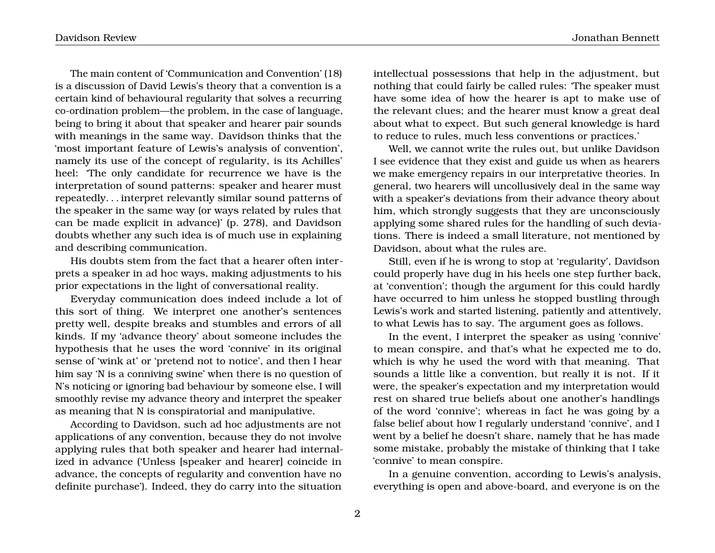The main content of 'Communication and Convention' (18) is a discussion of David Lewis's theory that a convention is a certain kind of behavioural regularity that solves a recurring co-ordination problem—the problem, in the case of language, being to bring it about that speaker and hearer pair sounds with meanings in the same way. Davidson thinks that the 'most important feature of Lewis's analysis of convention', namely its use of the concept of regularity, is its Achilles' heel: 'The only candidate for recurrence we have is the interpretation of sound patterns: speaker and hearer must repeatedly. . . interpret relevantly similar sound patterns of the speaker in the same way (or ways related by rules that can be made explicit in advance)' (p. 278), and Davidson doubts whether any such idea is of much use in explaining and describing communication.

His doubts stem from the fact that a hearer often interprets a speaker in ad hoc ways, making adjustments to his prior expectations in the light of conversational reality.

Everyday communication does indeed include a lot of this sort of thing. We interpret one another's sentences pretty well, despite breaks and stumbles and errors of all kinds. If my 'advance theory' about someone includes the hypothesis that he uses the word 'connive' in its original sense of 'wink at' or 'pretend not to notice', and then I hear him say 'N is a conniving swine' when there is no question of N's noticing or ignoring bad behaviour by someone else, I will smoothly revise my advance theory and interpret the speaker as meaning that N is conspiratorial and manipulative.

According to Davidson, such ad hoc adjustments are not applications of any convention, because they do not involve applying rules that both speaker and hearer had internalized in advance ('Unless [speaker and hearer] coincide in advance, the concepts of regularity and convention have no definite purchase'). Indeed, they do carry into the situation

intellectual possessions that help in the adjustment, but nothing that could fairly be called rules: 'The speaker must have some idea of how the hearer is apt to make use of the relevant clues; and the hearer must know a great deal about what to expect. But such general knowledge is hard to reduce to rules, much less conventions or practices.'

Well, we cannot write the rules out, but unlike Davidson I see evidence that they exist and guide us when as hearers we make emergency repairs in our interpretative theories. In general, two hearers will uncollusively deal in the same way with a speaker's deviations from their advance theory about him, which strongly suggests that they are unconsciously applying some shared rules for the handling of such deviations. There is indeed a small literature, not mentioned by Davidson, about what the rules are.

Still, even if he is wrong to stop at 'regularity', Davidson could properly have dug in his heels one step further back, at 'convention'; though the argument for this could hardly have occurred to him unless he stopped bustling through Lewis's work and started listening, patiently and attentively, to what Lewis has to say. The argument goes as follows.

In the event, I interpret the speaker as using 'connive' to mean conspire, and that's what he expected me to do, which is why he used the word with that meaning. That sounds a little like a convention, but really it is not. If it were, the speaker's expectation and my interpretation would rest on shared true beliefs about one another's handlings of the word 'connive'; whereas in fact he was going by a false belief about how I regularly understand 'connive', and I went by a belief he doesn't share, namely that he has made some mistake, probably the mistake of thinking that I take 'connive' to mean conspire.

In a genuine convention, according to Lewis's analysis, everything is open and above-board, and everyone is on the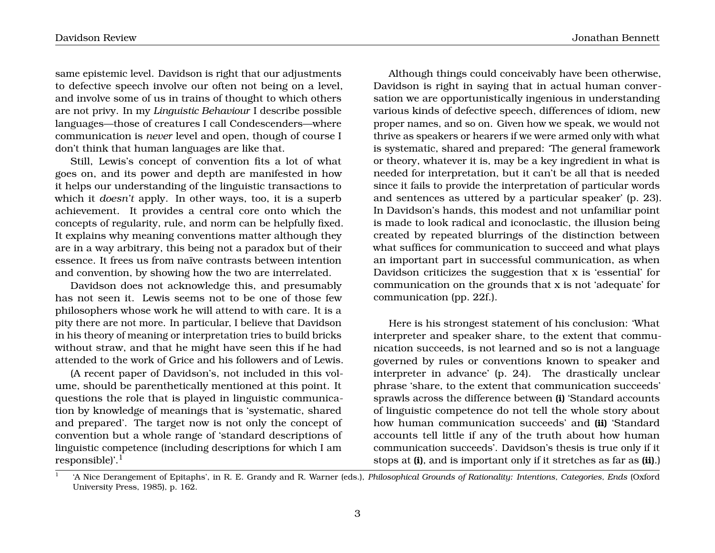same epistemic level. Davidson is right that our adjustments to defective speech involve our often not being on a level, and involve some of us in trains of thought to which others are not privy. In my *Linguistic Behaviour* I describe possible languages—those of creatures I call Condescenders—where communication is *never* level and open, though of course I don't think that human languages are like that.

Still, Lewis's concept of convention fits a lot of what goes on, and its power and depth are manifested in how it helps our understanding of the linguistic transactions to which it *doesn't* apply. In other ways, too, it is a superb achievement. It provides a central core onto which the concepts of regularity, rule, and norm can be helpfully fixed. It explains why meaning conventions matter although they are in a way arbitrary, this being not a paradox but of their essence. It frees us from naïve contrasts between intention and convention, by showing how the two are interrelated.

Davidson does not acknowledge this, and presumably has not seen it. Lewis seems not to be one of those few philosophers whose work he will attend to with care. It is a pity there are not more. In particular, I believe that Davidson in his theory of meaning or interpretation tries to build bricks without straw, and that he might have seen this if he had attended to the work of Grice and his followers and of Lewis.

(A recent paper of Davidson's, not included in this volume, should be parenthetically mentioned at this point. It questions the role that is played in linguistic communication by knowledge of meanings that is 'systematic, shared and prepared'. The target now is not only the concept of convention but a whole range of 'standard descriptions of linguistic competence (including descriptions for which I am responsible)'.<sup>1</sup>

Although things could conceivably have been otherwise, Davidson is right in saying that in actual human conversation we are opportunistically ingenious in understanding various kinds of defective speech, differences of idiom, new proper names, and so on. Given how we speak, we would not thrive as speakers or hearers if we were armed only with what is systematic, shared and prepared: 'The general framework or theory, whatever it is, may be a key ingredient in what is needed for interpretation, but it can't be all that is needed since it fails to provide the interpretation of particular words and sentences as uttered by a particular speaker' (p. 23). In Davidson's hands, this modest and not unfamiliar point is made to look radical and iconoclastic, the illusion being created by repeated blurrings of the distinction between what suffices for communication to succeed and what plays an important part in successful communication, as when Davidson criticizes the suggestion that x is 'essential' for communication on the grounds that x is not 'adequate' for communication (pp. 22f.).

Here is his strongest statement of his conclusion: 'What interpreter and speaker share, to the extent that communication succeeds, is not learned and so is not a language governed by rules or conventions known to speaker and interpreter in advance' (p. 24). The drastically unclear phrase 'share, to the extent that communication succeeds' sprawls across the difference between **(i)** 'Standard accounts of linguistic competence do not tell the whole story about how human communication succeeds' and **(ii)** 'Standard accounts tell little if any of the truth about how human communication succeeds'. Davidson's thesis is true only if it stops at **(i)**, and is important only if it stretches as far as **(ii)**.)

<sup>1</sup> 'A Nice Derangement of Epitaphs', in R. E. Grandy and R. Warner (eds.), *Philosophical Grounds of Rationality: Intentions, Categories, Ends* (Oxford University Press, 1985), p. 162.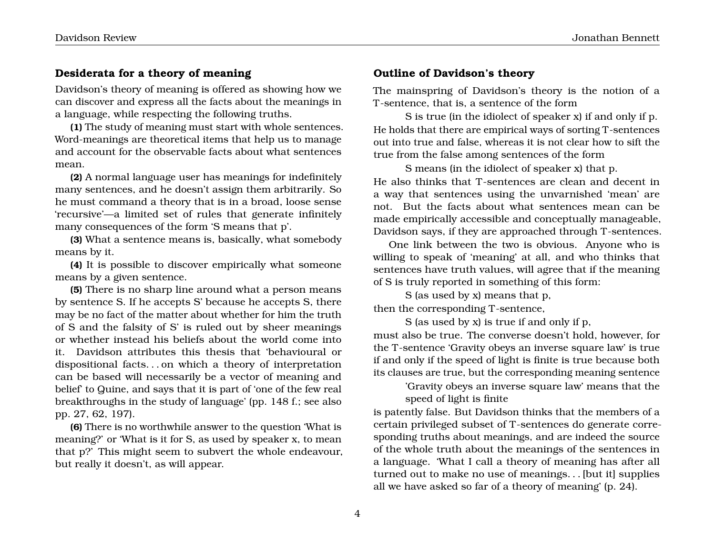4

## **Desiderata for a theory of meaning**

Davidson's theory of meaning is offered as showing how we can discover and express all the facts about the meanings in a language, while respecting the following truths.

**(1)** The study of meaning must start with whole sentences. Word-meanings are theoretical items that help us to manage and account for the observable facts about what sentences mean.

**(2)** A normal language user has meanings for indefinitely many sentences, and he doesn't assign them arbitrarily. So he must command a theory that is in a broad, loose sense 'recursive'—a limited set of rules that generate infinitely many consequences of the form 'S means that p'.

**(3)** What a sentence means is, basically, what somebody means by it.

**(4)** It is possible to discover empirically what someone means by a given sentence.

**(5)** There is no sharp line around what a person means by sentence S. If he accepts S' because he accepts S, there may be no fact of the matter about whether for him the truth of S and the falsity of S' is ruled out by sheer meanings or whether instead his beliefs about the world come into it. Davidson attributes this thesis that 'behavioural or dispositional facts. . . on which a theory of interpretation can be based will necessarily be a vector of meaning and belief' to Quine, and says that it is part of 'one of the few real breakthroughs in the study of language' (pp. 148 f.; see also pp. 27, 62, 197).

**(6)** There is no worthwhile answer to the question 'What is meaning?' or 'What is it for S, as used by speaker x, to mean that p?' This might seem to subvert the whole endeavour, but really it doesn't, as will appear.

### **Outline of Davidson's theory**

The mainspring of Davidson's theory is the notion of a T-sentence, that is, a sentence of the form

S is true (in the idiolect of speaker x) if and only if p. He holds that there are empirical ways of sorting T-sentences out into true and false, whereas it is not clear how to sift the true from the false among sentences of the form

S means (in the idiolect of speaker x) that p. He also thinks that T-sentences are clean and decent in a way that sentences using the unvarnished 'mean' are not. But the facts about what sentences mean can be made empirically accessible and conceptually manageable, Davidson says, if they are approached through T-sentences.

One link between the two is obvious. Anyone who is willing to speak of 'meaning' at all, and who thinks that sentences have truth values, will agree that if the meaning of S is truly reported in something of this form:

S (as used by x) means that p, then the corresponding T-sentence,

S (as used by x) is true if and only if p, must also be true. The converse doesn't hold, however, for the T-sentence 'Gravity obeys an inverse square law' is true if and only if the speed of light is finite is true because both its clauses are true, but the corresponding meaning sentence

'Gravity obeys an inverse square law' means that the speed of light is finite

is patently false. But Davidson thinks that the members of a certain privileged subset of T-sentences do generate corresponding truths about meanings, and are indeed the source of the whole truth about the meanings of the sentences in a language. 'What I call a theory of meaning has after all turned out to make no use of meanings. . . [but it] supplies all we have asked so far of a theory of meaning' (p. 24).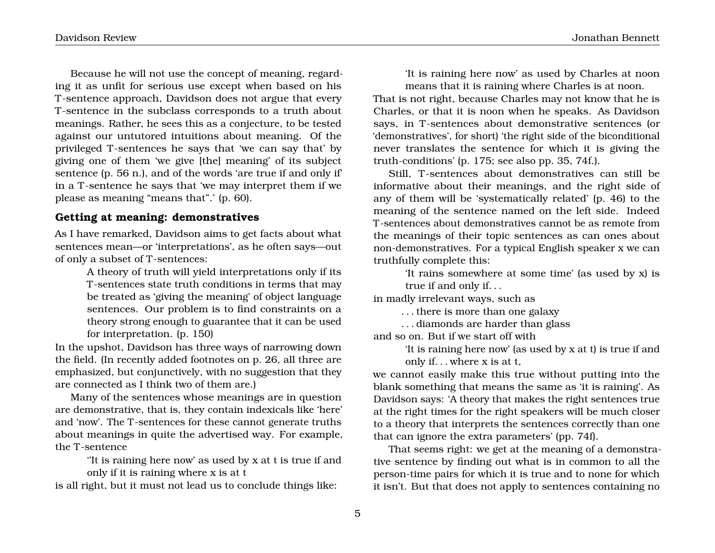Because he will not use the concept of meaning, regarding it as unfit for serious use except when based on his T-sentence approach, Davidson does not argue that every T-sentence in the subclass corresponds to a truth about meanings. Rather, he sees this as a conjecture, to be tested against our untutored intuitions about meaning. Of the privileged T-sentences he says that 'we can say that' by giving one of them 'we give [the] meaning' of its subject sentence (p. 56 n.), and of the words 'are true if and only if' in a T-sentence he says that 'we may interpret them if we please as meaning "means that".' (p. 60).

#### **Getting at meaning: demonstratives**

As I have remarked, Davidson aims to get facts about what sentences mean—or 'interpretations', as he often says—out of only a subset of T-sentences:

> A theory of truth will yield interpretations only if its T-sentences state truth conditions in terms that may be treated as 'giving the meaning' of object language sentences. Our problem is to find constraints on a theory strong enough to guarantee that it can be used for interpretation. (p. 150)

In the upshot, Davidson has three ways of narrowing down the field. (In recently added footnotes on p. 26, all three are emphasized, but conjunctively, with no suggestion that they are connected as I think two of them are.)

Many of the sentences whose meanings are in question are demonstrative, that is, they contain indexicals like 'here' and 'now'. The T-sentences for these cannot generate truths about meanings in quite the advertised way. For example, the T-sentence

> ''It is raining here now' as used by x at t is true if and only if it is raining where x is at t

is all right, but it must not lead us to conclude things like:

Davidson Review Jonathan Bennett

'It is raining here now' as used by Charles at noon means that it is raining where Charles is at noon.

That is not right, because Charles may not know that he is Charles, or that it is noon when he speaks. As Davidson says, in T-sentences about demonstrative sentences (or 'demonstratives', for short) 'the right side of the biconditional never translates the sentence for which it is giving the truth-conditions' (p. 175; see also pp. 35, 74f.).

Still, T-sentences about demonstratives can still be informative about their meanings, and the right side of any of them will be 'systematically related' (p. 46) to the meaning of the sentence named on the left side. Indeed T-sentences about demonstratives cannot be as remote from the meanings of their topic sentences as can ones about non-demonstratives. For a typical English speaker x we can truthfully complete this:

'It rains somewhere at some time' (as used by x) is true if and only if. . .

in madly irrelevant ways, such as

. . . there is more than one galaxy

. . . diamonds are harder than glass

and so on. But if we start off with

'It is raining here now' (as used by x at t) is true if and only if. . . where x is at t,

we cannot easily make this true without putting into the blank something that means the same as 'it is raining'. As Davidson says: 'A theory that makes the right sentences true at the right times for the right speakers will be much closer to a theory that interprets the sentences correctly than one that can ignore the extra parameters' (pp. 74f).

That seems right: we get at the meaning of a demonstrative sentence by finding out what is in common to all the person-time pairs for which it is true and to none for which it isn't. But that does not apply to sentences containing no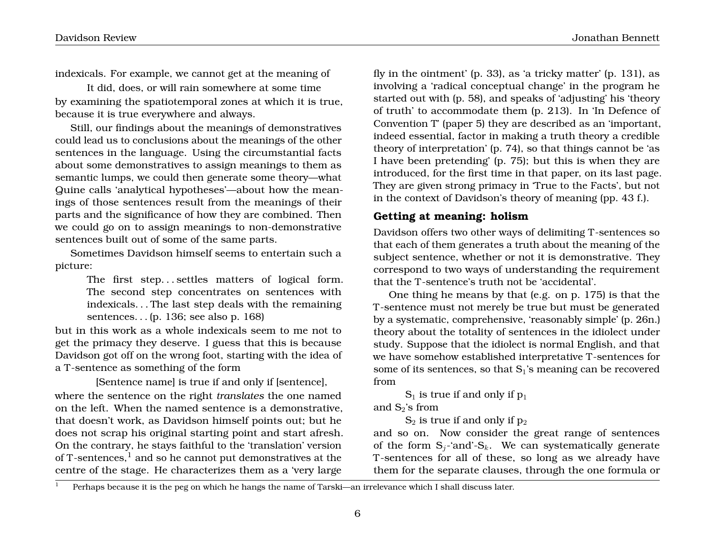indexicals. For example, we cannot get at the meaning of

It did, does, or will rain somewhere at some time by examining the spatiotemporal zones at which it is true, because it is true everywhere and always.

Still, our findings about the meanings of demonstratives could lead us to conclusions about the meanings of the other sentences in the language. Using the circumstantial facts about some demonstratives to assign meanings to them as semantic lumps, we could then generate some theory—what Quine calls 'analytical hypotheses'—about how the meanings of those sentences result from the meanings of their parts and the significance of how they are combined. Then we could go on to assign meanings to non-demonstrative sentences built out of some of the same parts.

Sometimes Davidson himself seems to entertain such a picture:

> The first step. . . settles matters of logical form. The second step concentrates on sentences with indexicals. . . The last step deals with the remaining sentences. . . (p. 136; see also p. 168)

but in this work as a whole indexicals seem to me not to get the primacy they deserve. I guess that this is because Davidson got off on the wrong foot, starting with the idea of a T-sentence as something of the form

[Sentence name] is true if and only if [sentence], where the sentence on the right *translates* the one named on the left. When the named sentence is a demonstrative, that doesn't work, as Davidson himself points out; but he does not scrap his original starting point and start afresh. On the contrary, he stays faithful to the 'translation' version of T-sentences,<sup>1</sup> and so he cannot put demonstratives at the centre of the stage. He characterizes them as a 'very large

fly in the ointment' (p. 33), as 'a tricky matter' (p. 131), as involving a 'radical conceptual change' in the program he started out with (p. 58), and speaks of 'adjusting' his 'theory of truth' to accommodate them (p. 213). In 'In Defence of Convention T' (paper 5) they are described as an 'important, indeed essential, factor in making a truth theory a credible theory of interpretation' (p. 74), so that things cannot be 'as I have been pretending' (p. 75); but this is when they are introduced, for the first time in that paper, on its last page. They are given strong primacy in 'True to the Facts', but not in the context of Davidson's theory of meaning (pp. 43 f.).

# **Getting at meaning: holism**

Davidson offers two other ways of delimiting T-sentences so that each of them generates a truth about the meaning of the subject sentence, whether or not it is demonstrative. They correspond to two ways of understanding the requirement that the T-sentence's truth not be 'accidental'.

One thing he means by that (e.g. on p. 175) is that the T-sentence must not merely be true but must be generated by a systematic, comprehensive, 'reasonably simple' (p. 26n.) theory about the totality of sentences in the idiolect under study. Suppose that the idiolect is normal English, and that we have somehow established interpretative T-sentences for some of its sentences, so that  $S_1$ 's meaning can be recovered from

 $S_1$  is true if and only if  $p_1$ and  $S_2$ 's from

 $S_2$  is true if and only if  $p_2$ 

and so on. Now consider the great range of sentences of the form  $S_i$ -'and'- $S_k$ . We can systematically generate T-sentences for all of these, so long as we already have them for the separate clauses, through the one formula or

<sup>1</sup> Perhaps because it is the peg on which he hangs the name of Tarski—an irrelevance which I shall discuss later.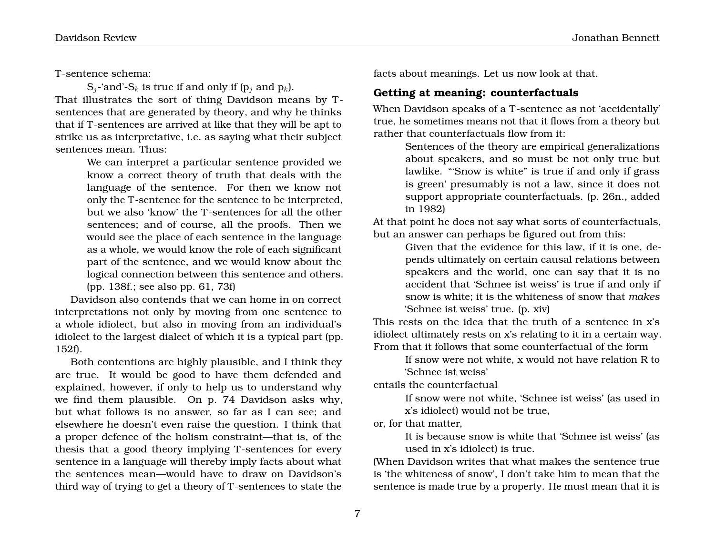T-sentence schema:

 $S_i$ -'and'- $S_k$  is true if and only if ( $p_j$  and  $p_k$ ). That illustrates the sort of thing Davidson means by Tsentences that are generated by theory, and why he thinks that if T-sentences are arrived at like that they will be apt to strike us as interpretative, i.e. as saying what their subject sentences mean. Thus:

> We can interpret a particular sentence provided we know a correct theory of truth that deals with the language of the sentence. For then we know not only the T-sentence for the sentence to be interpreted, but we also 'know' the T-sentences for all the other sentences; and of course, all the proofs. Then we would see the place of each sentence in the language as a whole, we would know the role of each significant part of the sentence, and we would know about the logical connection between this sentence and others. (pp. 138f.; see also pp. 61, 73f)

Davidson also contends that we can home in on correct interpretations not only by moving from one sentence to a whole idiolect, but also in moving from an individual's idiolect to the largest dialect of which it is a typical part (pp. 152f).

Both contentions are highly plausible, and I think they are true. It would be good to have them defended and explained, however, if only to help us to understand why we find them plausible. On p. 74 Davidson asks why, but what follows is no answer, so far as I can see; and elsewhere he doesn't even raise the question. I think that a proper defence of the holism constraint—that is, of the thesis that a good theory implying T-sentences for every sentence in a language will thereby imply facts about what the sentences mean—would have to draw on Davidson's third way of trying to get a theory of T-sentences to state the

facts about meanings. Let us now look at that.

## **Getting at meaning: counterfactuals**

When Davidson speaks of a T-sentence as not 'accidentally' true, he sometimes means not that it flows from a theory but rather that counterfactuals flow from it:

> Sentences of the theory are empirical generalizations about speakers, and so must be not only true but lawlike. "'Snow is white" is true if and only if grass is green' presumably is not a law, since it does not support appropriate counterfactuals. (p. 26n., added in 1982)

At that point he does not say what sorts of counterfactuals, but an answer can perhaps be figured out from this:

> Given that the evidence for this law, if it is one, depends ultimately on certain causal relations between speakers and the world, one can say that it is no accident that 'Schnee ist weiss' is true if and only if snow is white; it is the whiteness of snow that *makes* 'Schnee ist weiss' true. (p. xiv)

This rests on the idea that the truth of a sentence in x's idiolect ultimately rests on x's relating to it in a certain way. From that it follows that some counterfactual of the form

If snow were not white, x would not have relation R to 'Schnee ist weiss'

entails the counterfactual

If snow were not white, 'Schnee ist weiss' (as used in x's idiolect) would not be true,

or, for that matter,

It is because snow is white that 'Schnee ist weiss' (as used in x's idiolect) is true.

(When Davidson writes that what makes the sentence true is 'the whiteness of snow', I don't take him to mean that the sentence is made true by a property. He must mean that it is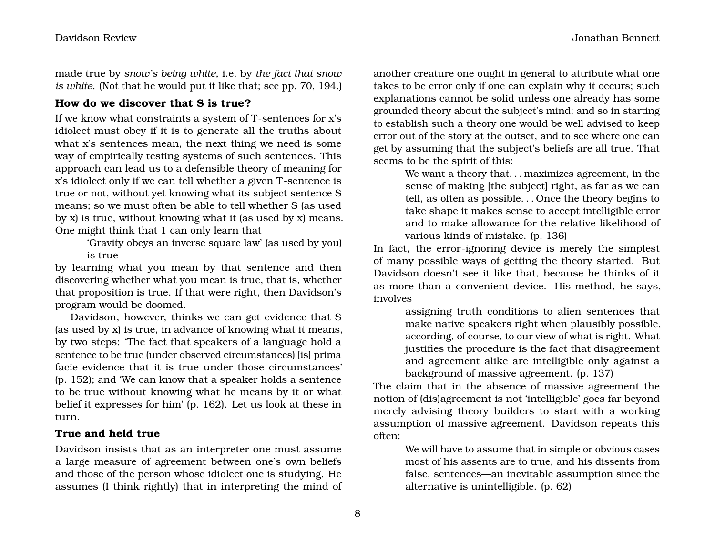made true by *snow's being white*, i.e. by *the fact that snow is white*. (Not that he would put it like that; see pp. 70, 194.)

## **How do we discover that S is true?**

If we know what constraints a system of T-sentences for x's idiolect must obey if it is to generate all the truths about what x's sentences mean, the next thing we need is some way of empirically testing systems of such sentences. This approach can lead us to a defensible theory of meaning for x's idiolect only if we can tell whether a given T-sentence is true or not, without yet knowing what its subject sentence S means; so we must often be able to tell whether S (as used by x) is true, without knowing what it (as used by x) means. One might think that 1 can only learn that

> 'Gravity obeys an inverse square law' (as used by you) is true

by learning what you mean by that sentence and then discovering whether what you mean is true, that is, whether that proposition is true. If that were right, then Davidson's program would be doomed.

Davidson, however, thinks we can get evidence that S (as used by x) is true, in advance of knowing what it means, by two steps: 'The fact that speakers of a language hold a sentence to be true (under observed circumstances) [is] prima facie evidence that it is true under those circumstances' (p. 152); and 'We can know that a speaker holds a sentence to be true without knowing what he means by it or what belief it expresses for him' (p. 162). Let us look at these in turn.

## **True and held true**

Davidson insists that as an interpreter one must assume a large measure of agreement between one's own beliefs and those of the person whose idiolect one is studying. He assumes (I think rightly) that in interpreting the mind of

another creature one ought in general to attribute what one takes to be error only if one can explain why it occurs; such explanations cannot be solid unless one already has some grounded theory about the subject's mind; and so in starting to establish such a theory one would be well advised to keep error out of the story at the outset, and to see where one can get by assuming that the subject's beliefs are all true. That seems to be the spirit of this:

> We want a theory that. . . maximizes agreement, in the sense of making [the subject] right, as far as we can tell, as often as possible. . . Once the theory begins to take shape it makes sense to accept intelligible error and to make allowance for the relative likelihood of various kinds of mistake. (p. 136)

In fact, the error-ignoring device is merely the simplest of many possible ways of getting the theory started. But Davidson doesn't see it like that, because he thinks of it as more than a convenient device. His method, he says, involves

assigning truth conditions to alien sentences that make native speakers right when plausibly possible, according, of course, to our view of what is right. What justifies the procedure is the fact that disagreement and agreement alike are intelligible only against a background of massive agreement. (p. 137)

The claim that in the absence of massive agreement the notion of (dis)agreement is not 'intelligible' goes far beyond merely advising theory builders to start with a working assumption of massive agreement. Davidson repeats this often:

> We will have to assume that in simple or obvious cases most of his assents are to true, and his dissents from false, sentences—an inevitable assumption since the alternative is unintelligible. (p. 62)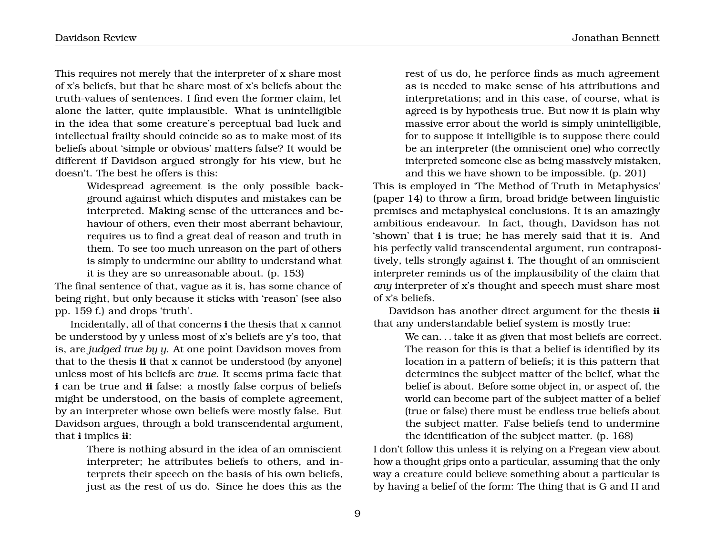This requires not merely that the interpreter of x share most of x's beliefs, but that he share most of x's beliefs about the truth-values of sentences. I find even the former claim, let alone the latter, quite implausible. What is unintelligible in the idea that some creature's perceptual bad luck and intellectual frailty should coincide so as to make most of its beliefs about 'simple or obvious' matters false? It would be different if Davidson argued strongly for his view, but he doesn't. The best he offers is this:

> Widespread agreement is the only possible background against which disputes and mistakes can be interpreted. Making sense of the utterances and behaviour of others, even their most aberrant behaviour, requires us to find a great deal of reason and truth in them. To see too much unreason on the part of others is simply to undermine our ability to understand what it is they are so unreasonable about. (p. 153)

The final sentence of that, vague as it is, has some chance of being right, but only because it sticks with 'reason' (see also pp. 159 f.) and drops 'truth'.

Incidentally, all of that concerns **i** the thesis that x cannot be understood by y unless most of x's beliefs are y's too, that is, are *judged true by y*. At one point Davidson moves from that to the thesis **ii** that x cannot be understood (by anyone) unless most of his beliefs are *true*. It seems prima facie that **i** can be true and **ii** false: a mostly false corpus of beliefs might be understood, on the basis of complete agreement, by an interpreter whose own beliefs were mostly false. But Davidson argues, through a bold transcendental argument, that **i** implies **ii**:

> There is nothing absurd in the idea of an omniscient interpreter; he attributes beliefs to others, and interprets their speech on the basis of his own beliefs, just as the rest of us do. Since he does this as the

rest of us do, he perforce finds as much agreement as is needed to make sense of his attributions and interpretations; and in this case, of course, what is agreed is by hypothesis true. But now it is plain why massive error about the world is simply unintelligible, for to suppose it intelligible is to suppose there could be an interpreter (the omniscient one) who correctly interpreted someone else as being massively mistaken,

and this we have shown to be impossible. (p. 201) This is employed in 'The Method of Truth in Metaphysics' (paper 14) to throw a firm, broad bridge between linguistic premises and metaphysical conclusions. It is an amazingly ambitious endeavour. In fact, though, Davidson has not 'shown' that **i** is true; he has merely said that it is. And his perfectly valid transcendental argument, run contrapositively, tells strongly against **i**. The thought of an omniscient interpreter reminds us of the implausibility of the claim that *any* interpreter of x's thought and speech must share most of x's beliefs.

Davidson has another direct argument for the thesis **ii** that any understandable belief system is mostly true:

> We can... take it as given that most beliefs are correct. The reason for this is that a belief is identified by its location in a pattern of beliefs; it is this pattern that determines the subject matter of the belief, what the belief is about. Before some object in, or aspect of, the world can become part of the subject matter of a belief (true or false) there must be endless true beliefs about the subject matter. False beliefs tend to undermine the identification of the subject matter. (p. 168)

I don't follow this unless it is relying on a Fregean view about how a thought grips onto a particular, assuming that the only way a creature could believe something about a particular is by having a belief of the form: The thing that is G and H and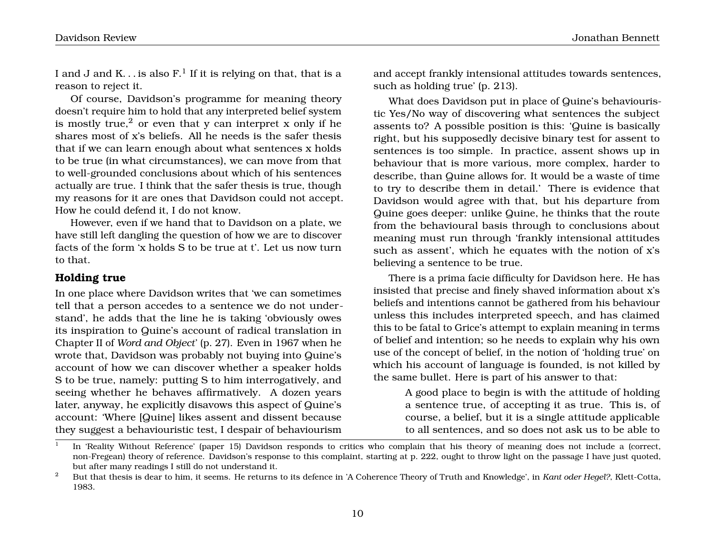I and J and K. . . is also F. $^{\rm l}$  If it is relying on that, that is a reason to reject it.

Of course, Davidson's programme for meaning theory doesn't require him to hold that any interpreted belief system is mostly true,<sup>2</sup> or even that y can interpret x only if he shares most of x's beliefs. All he needs is the safer thesis that if we can learn enough about what sentences x holds to be true (in what circumstances), we can move from that to well-grounded conclusions about which of his sentences actually are true. I think that the safer thesis is true, though my reasons for it are ones that Davidson could not accept. How he could defend it, I do not know.

However, even if we hand that to Davidson on a plate, we have still left dangling the question of how we are to discover facts of the form 'x holds S to be true at t'. Let us now turn to that.

### **Holding true**

In one place where Davidson writes that 'we can sometimes tell that a person accedes to a sentence we do not understand', he adds that the line he is taking 'obviously owes its inspiration to Quine's account of radical translation in Chapter II of *Word and Object*' (p. 27). Even in 1967 when he wrote that, Davidson was probably not buying into Quine's account of how we can discover whether a speaker holds S to be true, namely: putting S to him interrogatively, and seeing whether he behaves affirmatively. A dozen years later, anyway, he explicitly disavows this aspect of Quine's account: 'Where [Quine] likes assent and dissent because they suggest a behaviouristic test, I despair of behaviourism

and accept frankly intensional attitudes towards sentences, such as holding true' (p. 213).

What does Davidson put in place of Quine's behaviouristic Yes/No way of discovering what sentences the subject assents to? A possible position is this: 'Quine is basically right, but his supposedly decisive binary test for assent to sentences is too simple. In practice, assent shows up in behaviour that is more various, more complex, harder to describe, than Quine allows for. It would be a waste of time to try to describe them in detail.' There is evidence that Davidson would agree with that, but his departure from Quine goes deeper: unlike Quine, he thinks that the route from the behavioural basis through to conclusions about meaning must run through 'frankly intensional attitudes such as assent', which he equates with the notion of x's believing a sentence to be true.

There is a prima facie difficulty for Davidson here. He has insisted that precise and finely shaved information about x's beliefs and intentions cannot be gathered from his behaviour unless this includes interpreted speech, and has claimed this to be fatal to Grice's attempt to explain meaning in terms of belief and intention; so he needs to explain why his own use of the concept of belief, in the notion of 'holding true' on which his account of language is founded, is not killed by the same bullet. Here is part of his answer to that:

> A good place to begin is with the attitude of holding a sentence true, of accepting it as true. This is, of course, a belief, but it is a single attitude applicable to all sentences, and so does not ask us to be able to

<sup>1</sup> In 'Reality Without Reference' (paper 15) Davidson responds to critics who complain that his theory of meaning does not include a (correct, non-Fregean) theory of reference. Davidson's response to this complaint, starting at p. 222, ought to throw light on the passage I have just quoted, but after many readings I still do not understand it.

<sup>&</sup>lt;sup>2</sup> But that thesis is dear to him, it seems. He returns to its defence in 'A Coherence Theory of Truth and Knowledge', in *Kant oder Hegel?*, Klett-Cotta, 1983.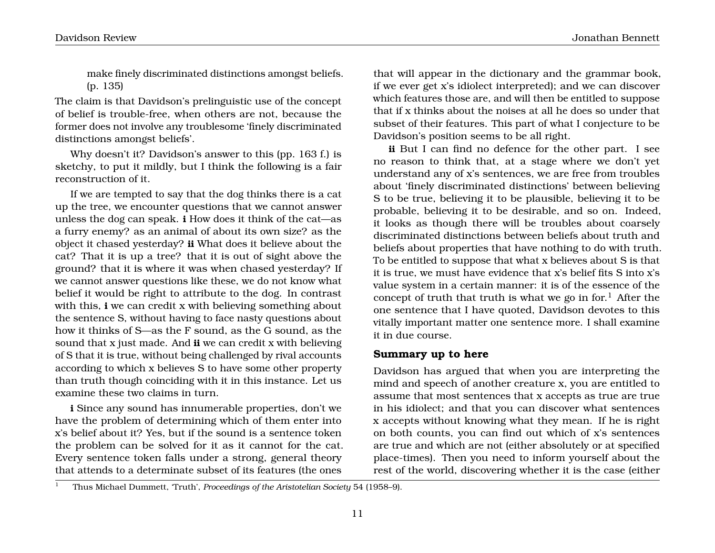11

Davidson Review Jonathan Bennett

make finely discriminated distinctions amongst beliefs. (p. 135)

The claim is that Davidson's prelinguistic use of the concept of belief is trouble-free, when others are not, because the former does not involve any troublesome 'finely discriminated distinctions amongst beliefs'.

Why doesn't it? Davidson's answer to this (pp. 163 f.) is sketchy, to put it mildly, but I think the following is a fair reconstruction of it.

If we are tempted to say that the dog thinks there is a cat up the tree, we encounter questions that we cannot answer unless the dog can speak. **i** How does it think of the cat—as a furry enemy? as an animal of about its own size? as the object it chased yesterday? **ii** What does it believe about the cat? That it is up a tree? that it is out of sight above the ground? that it is where it was when chased yesterday? If we cannot answer questions like these, we do not know what belief it would be right to attribute to the dog. In contrast with this, **i** we can credit x with believing something about the sentence S, without having to face nasty questions about how it thinks of S—as the F sound, as the G sound, as the sound that x just made. And **ii** we can credit x with believing of S that it is true, without being challenged by rival accounts according to which x believes S to have some other property than truth though coinciding with it in this instance. Let us examine these two claims in turn.

**i** Since any sound has innumerable properties, don't we have the problem of determining which of them enter into x's belief about it? Yes, but if the sound is a sentence token the problem can be solved for it as it cannot for the cat. Every sentence token falls under a strong, general theory that attends to a determinate subset of its features (the ones

that will appear in the dictionary and the grammar book, if we ever get x's idiolect interpreted); and we can discover which features those are, and will then be entitled to suppose that if x thinks about the noises at all he does so under that subset of their features. This part of what I conjecture to be Davidson's position seems to be all right.

**ii** But I can find no defence for the other part. I see no reason to think that, at a stage where we don't yet understand any of x's sentences, we are free from troubles about 'finely discriminated distinctions' between believing S to be true, believing it to be plausible, believing it to be probable, believing it to be desirable, and so on. Indeed, it looks as though there will be troubles about coarsely discriminated distinctions between beliefs about truth and beliefs about properties that have nothing to do with truth. To be entitled to suppose that what x believes about S is that it is true, we must have evidence that x's belief fits S into x's value system in a certain manner: it is of the essence of the concept of truth that truth is what we go in for.<sup>1</sup> After the one sentence that I have quoted, Davidson devotes to this vitally important matter one sentence more. I shall examine it in due course.

#### **Summary up to here**

Davidson has argued that when you are interpreting the mind and speech of another creature x, you are entitled to assume that most sentences that x accepts as true are true in his idiolect; and that you can discover what sentences x accepts without knowing what they mean. If he is right on both counts, you can find out which of x's sentences are true and which are not (either absolutely or at specified place-times). Then you need to inform yourself about the rest of the world, discovering whether it is the case (either

<sup>1</sup> Thus Michael Dummett, 'Truth', *Proceedings of the Aristotelian Society* 54 (1958–9).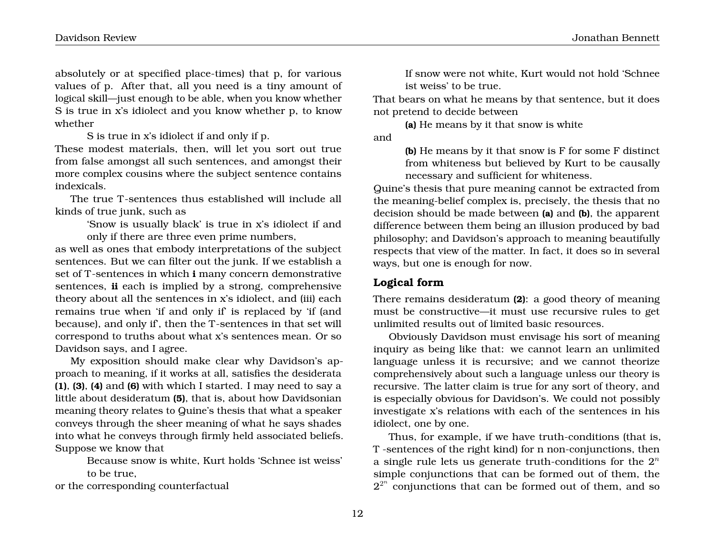absolutely or at specified place-times) that p, for various values of p. After that, all you need is a tiny amount of logical skill—just enough to be able, when you know whether S is true in x's idiolect and you know whether p, to know whether

S is true in x's idiolect if and only if p. These modest materials, then, will let you sort out true from false amongst all such sentences, and amongst their more complex cousins where the subject sentence contains indexicals.

The true T-sentences thus established will include all kinds of true junk, such as

> 'Snow is usually black' is true in x's idiolect if and only if there are three even prime numbers,

as well as ones that embody interpretations of the subject sentences. But we can filter out the junk. If we establish a set of T-sentences in which **i** many concern demonstrative sentences, **ii** each is implied by a strong, comprehensive theory about all the sentences in x's idiolect, and (iii) each remains true when 'if and only if' is replaced by 'if (and because), and only if, then the T-sentences in that set will correspond to truths about what x's sentences mean. Or so Davidson says, and I agree.

My exposition should make clear why Davidson's approach to meaning, if it works at all, satisfies the desiderata **(1)**, **(3)**, **(4)** and **(6)** with which I started. I may need to say a little about desideratum **(5)**, that is, about how Davidsonian meaning theory relates to Quine's thesis that what a speaker conveys through the sheer meaning of what he says shades into what he conveys through firmly held associated beliefs. Suppose we know that

> Because snow is white, Kurt holds 'Schnee ist weiss' to be true,

or the corresponding counterfactual

If snow were not white, Kurt would not hold 'Schnee ist weiss' to be true.

That bears on what he means by that sentence, but it does not pretend to decide between

**(a)** He means by it that snow is white and

> **(b)** He means by it that snow is F for some F distinct from whiteness but believed by Kurt to be causally necessary and sufficient for whiteness.

Quine's thesis that pure meaning cannot be extracted from the meaning-belief complex is, precisely, the thesis that no decision should be made between **(a)** and **(b)**, the apparent difference between them being an illusion produced by bad philosophy; and Davidson's approach to meaning beautifully respects that view of the matter. In fact, it does so in several ways, but one is enough for now.

## **Logical form**

There remains desideratum **(2)**: a good theory of meaning must be constructive—it must use recursive rules to get unlimited results out of limited basic resources.

Obviously Davidson must envisage his sort of meaning inquiry as being like that: we cannot learn an unlimited language unless it is recursive; and we cannot theorize comprehensively about such a language unless our theory is recursive. The latter claim is true for any sort of theory, and is especially obvious for Davidson's. We could not possibly investigate x's relations with each of the sentences in his idiolect, one by one.

Thus, for example, if we have truth-conditions (that is, T -sentences of the right kind) for n non-conjunctions, then a single rule lets us generate truth-conditions for the  $2^n$ simple conjunctions that can be formed out of them, the  $2^{2^n}$  conjunctions that can be formed out of them, and so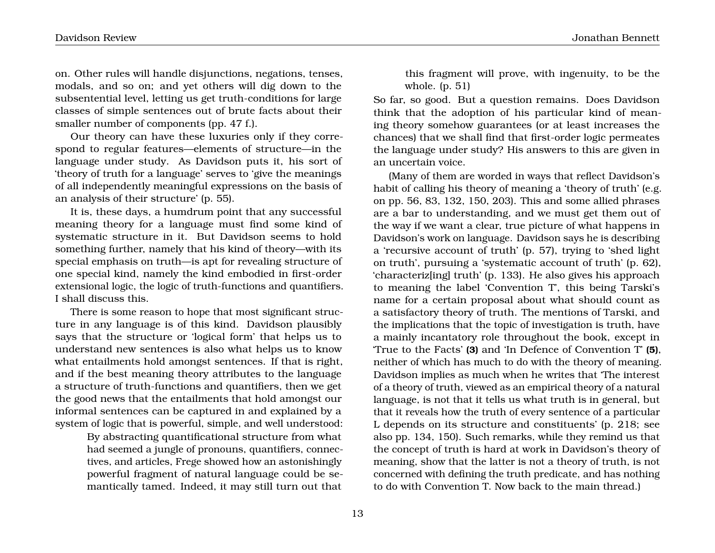Davidson Review Jonathan Bennett

on. Other rules will handle disjunctions, negations, tenses, modals, and so on; and yet others will dig down to the subsentential level, letting us get truth-conditions for large classes of simple sentences out of brute facts about their smaller number of components (pp. 47 f.).

Our theory can have these luxuries only if they correspond to regular features—elements of structure—in the language under study. As Davidson puts it, his sort of 'theory of truth for a language' serves to 'give the meanings of all independently meaningful expressions on the basis of an analysis of their structure' (p. 55).

It is, these days, a humdrum point that any successful meaning theory for a language must find some kind of systematic structure in it. But Davidson seems to hold something further, namely that his kind of theory—with its special emphasis on truth—is apt for revealing structure of one special kind, namely the kind embodied in first-order extensional logic, the logic of truth-functions and quantifiers. I shall discuss this.

There is some reason to hope that most significant structure in any language is of this kind. Davidson plausibly says that the structure or 'logical form' that helps us to understand new sentences is also what helps us to know what entailments hold amongst sentences. If that is right, and if the best meaning theory attributes to the language a structure of truth-functions and quantifiers, then we get the good news that the entailments that hold amongst our informal sentences can be captured in and explained by a system of logic that is powerful, simple, and well understood:

> By abstracting quantificational structure from what had seemed a jungle of pronouns, quantifiers, connectives, and articles, Frege showed how an astonishingly powerful fragment of natural language could be semantically tamed. Indeed, it may still turn out that

this fragment will prove, with ingenuity, to be the whole. (p. 51)

So far, so good. But a question remains. Does Davidson think that the adoption of his particular kind of meaning theory somehow guarantees (or at least increases the chances) that we shall find that first-order logic permeates the language under study? His answers to this are given in an uncertain voice.

(Many of them are worded in ways that reflect Davidson's habit of calling his theory of meaning a 'theory of truth' (e.g. on pp. 56, 83, 132, 150, 203). This and some allied phrases are a bar to understanding, and we must get them out of the way if we want a clear, true picture of what happens in Davidson's work on language. Davidson says he is describing a 'recursive account of truth' (p. 57), trying to 'shed light on truth', pursuing a 'systematic account of truth' (p. 62), 'characteriz[ing] truth' (p. 133). He also gives his approach to meaning the label 'Convention T', this being Tarski's name for a certain proposal about what should count as a satisfactory theory of truth. The mentions of Tarski, and the implications that the topic of investigation is truth, have a mainly incantatory role throughout the book, except in 'True to the Facts' **(3)** and 'In Defence of Convention T' **(5)**, neither of which has much to do with the theory of meaning. Davidson implies as much when he writes that 'The interest of a theory of truth, viewed as an empirical theory of a natural language, is not that it tells us what truth is in general, but that it reveals how the truth of every sentence of a particular L depends on its structure and constituents' (p. 218; see also pp. 134, 150). Such remarks, while they remind us that the concept of truth is hard at work in Davidson's theory of meaning, show that the latter is not a theory of truth, is not concerned with defining the truth predicate, and has nothing to do with Convention T. Now back to the main thread.)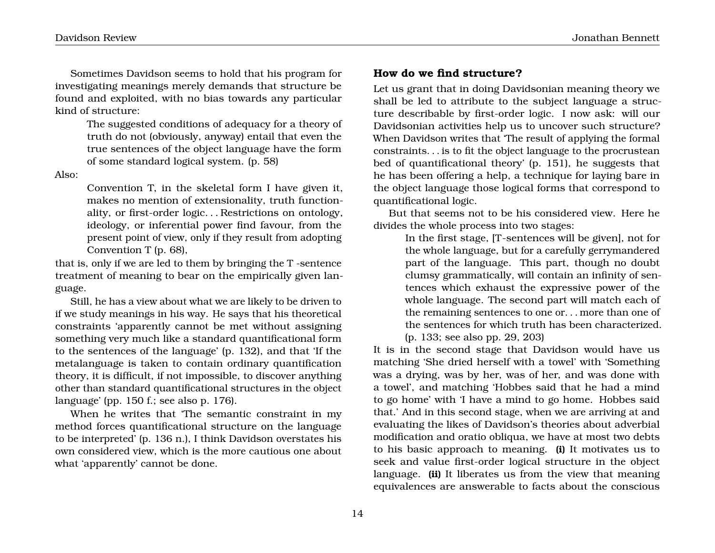Sometimes Davidson seems to hold that his program for investigating meanings merely demands that structure be found and exploited, with no bias towards any particular kind of structure:

> The suggested conditions of adequacy for a theory of truth do not (obviously, anyway) entail that even the true sentences of the object language have the form of some standard logical system. (p. 58)

Also:

Convention T, in the skeletal form I have given it, makes no mention of extensionality, truth functionality, or first-order logic. . . Restrictions on ontology, ideology, or inferential power find favour, from the present point of view, only if they result from adopting Convention T (p. 68),

that is, only if we are led to them by bringing the T -sentence treatment of meaning to bear on the empirically given language.

Still, he has a view about what we are likely to be driven to if we study meanings in his way. He says that his theoretical constraints 'apparently cannot be met without assigning something very much like a standard quantificational form to the sentences of the language' (p. 132), and that 'If the metalanguage is taken to contain ordinary quantification theory, it is difficult, if not impossible, to discover anything other than standard quantificational structures in the object language' (pp. 150 f.; see also p. 176).

When he writes that 'The semantic constraint in my method forces quantificational structure on the language to be interpreted' (p. 136 n.), I think Davidson overstates his own considered view, which is the more cautious one about what 'apparently' cannot be done.

#### **How do we find structure?**

Let us grant that in doing Davidsonian meaning theory we shall be led to attribute to the subject language a structure describable by first-order logic. I now ask: will our Davidsonian activities help us to uncover such structure? When Davidson writes that 'The result of applying the formal constraints. . . is to fit the object language to the procrustean bed of quantificational theory' (p. 151), he suggests that he has been offering a help, a technique for laying bare in the object language those logical forms that correspond to quantificational logic.

But that seems not to be his considered view. Here he divides the whole process into two stages:

In the first stage, [T-sentences will be given], not for the whole language, but for a carefully gerrymandered part of the language. This part, though no doubt clumsy grammatically, will contain an infinity of sentences which exhaust the expressive power of the whole language. The second part will match each of the remaining sentences to one or. . . more than one of the sentences for which truth has been characterized. (p. 133; see also pp. 29, 203)

It is in the second stage that Davidson would have us matching 'She dried herself with a towel' with 'Something was a drying, was by her, was of her, and was done with a towel', and matching 'Hobbes said that he had a mind to go home' with 'I have a mind to go home. Hobbes said that.' And in this second stage, when we are arriving at and evaluating the likes of Davidson's theories about adverbial modification and oratio obliqua, we have at most two debts to his basic approach to meaning. **(i)** It motivates us to seek and value first-order logical structure in the object language. **(ii)** It liberates us from the view that meaning equivalences are answerable to facts about the conscious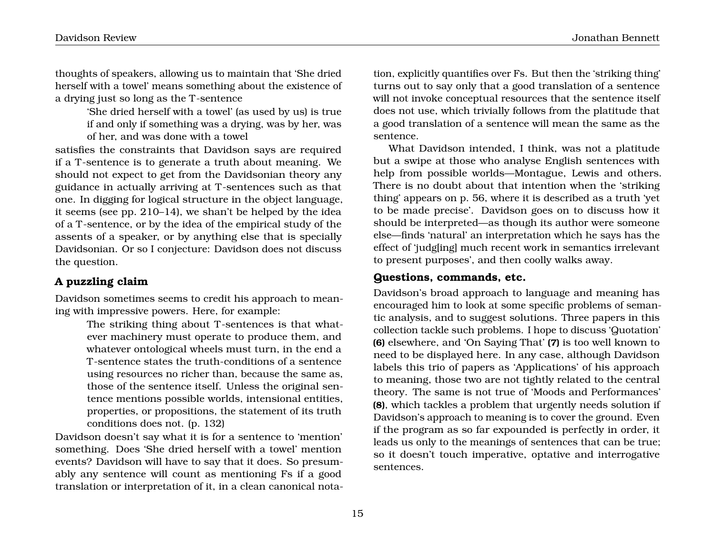thoughts of speakers, allowing us to maintain that 'She dried herself with a towel' means something about the existence of a drying just so long as the T-sentence

> 'She dried herself with a towel' (as used by us) is true if and only if something was a drying, was by her, was of her, and was done with a towel

satisfies the constraints that Davidson says are required if a T-sentence is to generate a truth about meaning. We should not expect to get from the Davidsonian theory any guidance in actually arriving at T-sentences such as that one. In digging for logical structure in the object language, it seems (see pp. 210–14), we shan't be helped by the idea of a T-sentence, or by the idea of the empirical study of the assents of a speaker, or by anything else that is specially Davidsonian. Or so I conjecture: Davidson does not discuss the question.

#### **A puzzling claim**

Davidson sometimes seems to credit his approach to meaning with impressive powers. Here, for example:

> The striking thing about T-sentences is that whatever machinery must operate to produce them, and whatever ontological wheels must turn, in the end a T-sentence states the truth-conditions of a sentence using resources no richer than, because the same as, those of the sentence itself. Unless the original sentence mentions possible worlds, intensional entities, properties, or propositions, the statement of its truth conditions does not. (p. 132)

Davidson doesn't say what it is for a sentence to 'mention' something. Does 'She dried herself with a towel' mention events? Davidson will have to say that it does. So presumably any sentence will count as mentioning Fs if a good translation or interpretation of it, in a clean canonical nota-

tion, explicitly quantifies over Fs. But then the 'striking thing' turns out to say only that a good translation of a sentence will not invoke conceptual resources that the sentence itself does not use, which trivially follows from the platitude that a good translation of a sentence will mean the same as the sentence.

What Davidson intended, I think, was not a platitude but a swipe at those who analyse English sentences with help from possible worlds—Montague, Lewis and others. There is no doubt about that intention when the 'striking thing' appears on p. 56, where it is described as a truth 'yet to be made precise'. Davidson goes on to discuss how it should be interpreted—as though its author were someone else—finds 'natural' an interpretation which he says has the effect of 'judg[ing] much recent work in semantics irrelevant to present purposes', and then coolly walks away.

## **Questions, commands, etc.**

Davidson's broad approach to language and meaning has encouraged him to look at some specific problems of semantic analysis, and to suggest solutions. Three papers in this collection tackle such problems. I hope to discuss 'Quotation' **(6)** elsewhere, and 'On Saying That' **(7)** is too well known to need to be displayed here. In any case, although Davidson labels this trio of papers as 'Applications' of his approach to meaning, those two are not tightly related to the central theory. The same is not true of 'Moods and Performances' **(8)**, which tackles a problem that urgently needs solution if Davidson's approach to meaning is to cover the ground. Even if the program as so far expounded is perfectly in order, it leads us only to the meanings of sentences that can be true; so it doesn't touch imperative, optative and interrogative sentences.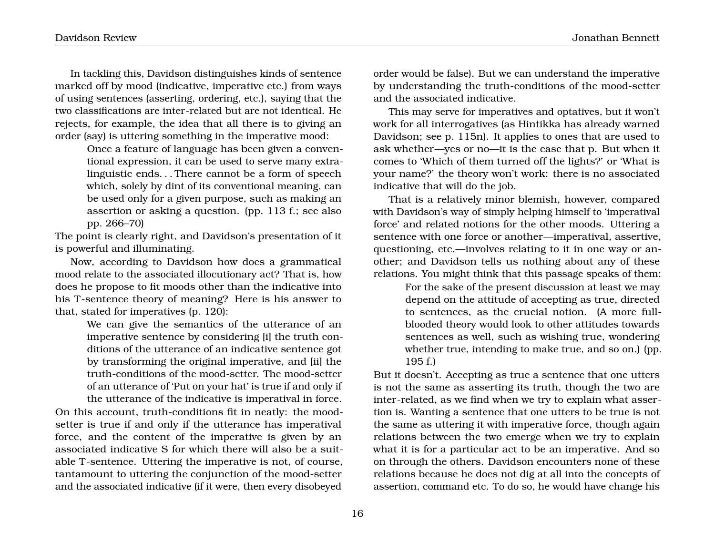In tackling this, Davidson distinguishes kinds of sentence marked off by mood (indicative, imperative etc.) from ways of using sentences (asserting, ordering, etc.), saying that the two classifications are inter-related but are not identical. He rejects, for example, the idea that all there is to giving an order (say) is uttering something in the imperative mood:

> Once a feature of language has been given a conventional expression, it can be used to serve many extralinguistic ends. . . There cannot be a form of speech which, solely by dint of its conventional meaning, can be used only for a given purpose, such as making an assertion or asking a question. (pp. 113 f.; see also pp. 266–70)

The point is clearly right, and Davidson's presentation of it is powerful and illuminating.

Now, according to Davidson how does a grammatical mood relate to the associated illocutionary act? That is, how does he propose to fit moods other than the indicative into his T-sentence theory of meaning? Here is his answer to that, stated for imperatives (p. 120):

> We can give the semantics of the utterance of an imperative sentence by considering [i] the truth conditions of the utterance of an indicative sentence got by transforming the original imperative, and [ii] the truth-conditions of the mood-setter. The mood-setter of an utterance of 'Put on your hat' is true if and only if the utterance of the indicative is imperatival in force.

On this account, truth-conditions fit in neatly: the moodsetter is true if and only if the utterance has imperatival force, and the content of the imperative is given by an associated indicative S for which there will also be a suitable T-sentence. Uttering the imperative is not, of course, tantamount to uttering the conjunction of the mood-setter and the associated indicative (if it were, then every disobeyed

order would be false). But we can understand the imperative by understanding the truth-conditions of the mood-setter and the associated indicative.

This may serve for imperatives and optatives, but it won't work for all interrogatives (as Hintikka has already warned Davidson; see p. 115n). It applies to ones that are used to ask whether—yes or no—it is the case that p. But when it comes to 'Which of them turned off the lights?' or 'What is your name?' the theory won't work: there is no associated indicative that will do the job.

That is a relatively minor blemish, however, compared with Davidson's way of simply helping himself to 'imperatival force' and related notions for the other moods. Uttering a sentence with one force or another—imperatival, assertive, questioning, etc.—involves relating to it in one way or another; and Davidson tells us nothing about any of these relations. You might think that this passage speaks of them:

For the sake of the present discussion at least we may depend on the attitude of accepting as true, directed to sentences, as the crucial notion. (A more fullblooded theory would look to other attitudes towards sentences as well, such as wishing true, wondering whether true, intending to make true, and so on.) (pp. 195 f.)

But it doesn't. Accepting as true a sentence that one utters is not the same as asserting its truth, though the two are inter-related, as we find when we try to explain what assertion is. Wanting a sentence that one utters to be true is not the same as uttering it with imperative force, though again relations between the two emerge when we try to explain what it is for a particular act to be an imperative. And so on through the others. Davidson encounters none of these relations because he does not dig at all into the concepts of assertion, command etc. To do so, he would have change his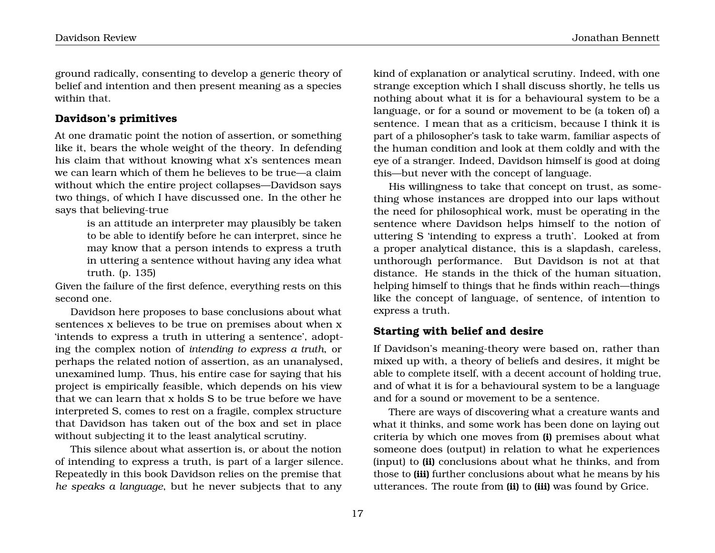ground radically, consenting to develop a generic theory of belief and intention and then present meaning as a species within that.

# **Davidson's primitives**

At one dramatic point the notion of assertion, or something like it, bears the whole weight of the theory. In defending his claim that without knowing what x's sentences mean we can learn which of them he believes to be true—a claim without which the entire project collapses—Davidson says two things, of which I have discussed one. In the other he says that believing-true

> is an attitude an interpreter may plausibly be taken to be able to identify before he can interpret, since he may know that a person intends to express a truth in uttering a sentence without having any idea what truth. (p. 135)

Given the failure of the first defence, everything rests on this second one.

Davidson here proposes to base conclusions about what sentences x believes to be true on premises about when x 'intends to express a truth in uttering a sentence', adopting the complex notion of *intending to express a truth*, or perhaps the related notion of assertion, as an unanalysed, unexamined lump. Thus, his entire case for saying that his project is empirically feasible, which depends on his view that we can learn that x holds S to be true before we have interpreted S, comes to rest on a fragile, complex structure that Davidson has taken out of the box and set in place without subjecting it to the least analytical scrutiny.

This silence about what assertion is, or about the notion of intending to express a truth, is part of a larger silence. Repeatedly in this book Davidson relies on the premise that *he speaks a language*, but he never subjects that to any

kind of explanation or analytical scrutiny. Indeed, with one strange exception which I shall discuss shortly, he tells us nothing about what it is for a behavioural system to be a language, or for a sound or movement to be (a token of) a sentence. I mean that as a criticism, because I think it is part of a philosopher's task to take warm, familiar aspects of the human condition and look at them coldly and with the eye of a stranger. Indeed, Davidson himself is good at doing this—but never with the concept of language.

His willingness to take that concept on trust, as something whose instances are dropped into our laps without the need for philosophical work, must be operating in the sentence where Davidson helps himself to the notion of uttering S 'intending to express a truth'. Looked at from a proper analytical distance, this is a slapdash, careless, unthorough performance. But Davidson is not at that distance. He stands in the thick of the human situation, helping himself to things that he finds within reach—things like the concept of language, of sentence, of intention to express a truth.

# **Starting with belief and desire**

If Davidson's meaning-theory were based on, rather than mixed up with, a theory of beliefs and desires, it might be able to complete itself, with a decent account of holding true, and of what it is for a behavioural system to be a language and for a sound or movement to be a sentence.

There are ways of discovering what a creature wants and what it thinks, and some work has been done on laying out criteria by which one moves from **(i)** premises about what someone does (output) in relation to what he experiences (input) to **(ii)** conclusions about what he thinks, and from those to **(iii)** further conclusions about what he means by his utterances. The route from **(ii)** to **(iii)** was found by Grice.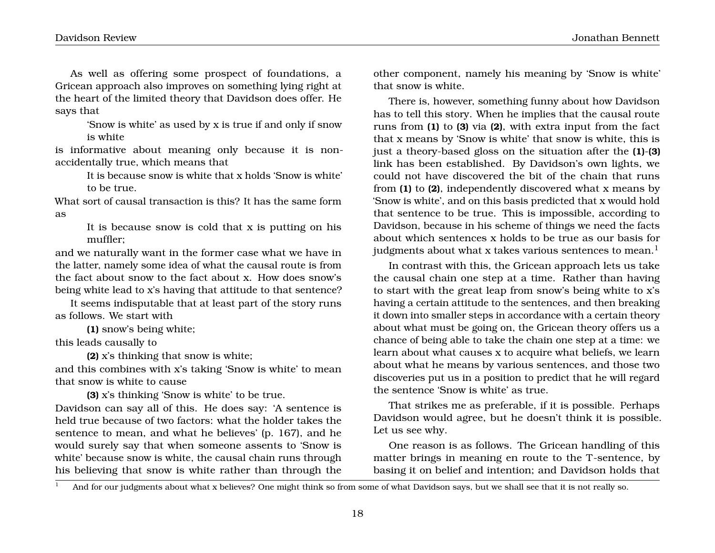As well as offering some prospect of foundations, a Gricean approach also improves on something lying right at the heart of the limited theory that Davidson does offer. He says that

> 'Snow is white' as used by x is true if and only if snow is white

is informative about meaning only because it is nonaccidentally true, which means that

> It is because snow is white that x holds 'Snow is white' to be true.

What sort of causal transaction is this? It has the same form as

> It is because snow is cold that x is putting on his muffler;

and we naturally want in the former case what we have in the latter, namely some idea of what the causal route is from the fact about snow to the fact about x. How does snow's being white lead to x's having that attitude to that sentence?

It seems indisputable that at least part of the story runs as follows. We start with

**(1)** snow's being white;

this leads causally to

**(2)** x's thinking that snow is white;

and this combines with x's taking 'Snow is white' to mean that snow is white to cause

**(3)** x's thinking 'Snow is white' to be true.

Davidson can say all of this. He does say: 'A sentence is held true because of two factors: what the holder takes the sentence to mean, and what he believes' (p. 167), and he would surely say that when someone assents to 'Snow is white' because snow is white, the causal chain runs through his believing that snow is white rather than through the

other component, namely his meaning by 'Snow is white' that snow is white.

There is, however, something funny about how Davidson has to tell this story. When he implies that the causal route runs from **(1)** to **(3)** via **(2)**, with extra input from the fact that x means by 'Snow is white' that snow is white, this is just a theory-based gloss on the situation after the **(1)**-**(3)** link has been established. By Davidson's own lights, we could not have discovered the bit of the chain that runs from **(1)** to **(2)**, independently discovered what x means by 'Snow is white', and on this basis predicted that x would hold that sentence to be true. This is impossible, according to Davidson, because in his scheme of things we need the facts about which sentences x holds to be true as our basis for judgments about what x takes various sentences to mean.<sup>1</sup>

In contrast with this, the Gricean approach lets us take the causal chain one step at a time. Rather than having to start with the great leap from snow's being white to x's having a certain attitude to the sentences, and then breaking it down into smaller steps in accordance with a certain theory about what must be going on, the Gricean theory offers us a chance of being able to take the chain one step at a time: we learn about what causes x to acquire what beliefs, we learn about what he means by various sentences, and those two discoveries put us in a position to predict that he will regard the sentence 'Snow is white' as true.

That strikes me as preferable, if it is possible. Perhaps Davidson would agree, but he doesn't think it is possible. Let us see why.

One reason is as follows. The Gricean handling of this matter brings in meaning en route to the T-sentence, by basing it on belief and intention; and Davidson holds that

<sup>1</sup> And for our judgments about what x believes? One might think so from some of what Davidson says, but we shall see that it is not really so.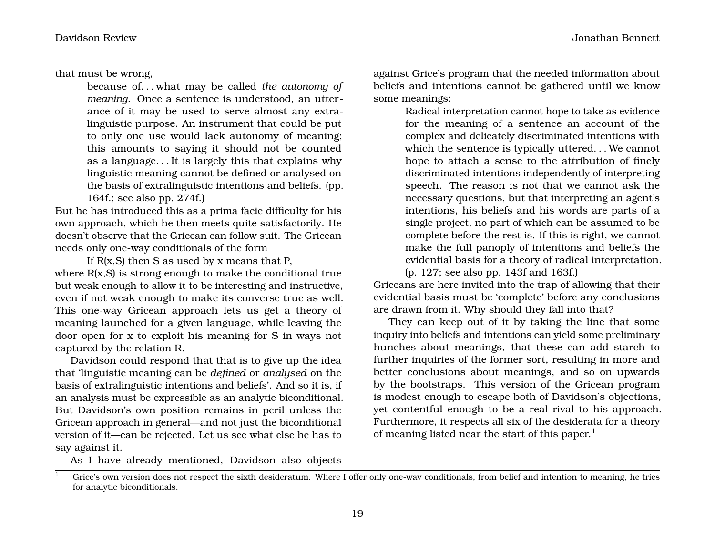that must be wrong,

because of. . . what may be called *the autonomy of meaning*. Once a sentence is understood, an utterance of it may be used to serve almost any extralinguistic purpose. An instrument that could be put to only one use would lack autonomy of meaning; this amounts to saying it should not be counted as a language. . . It is largely this that explains why linguistic meaning cannot be defined or analysed on the basis of extralinguistic intentions and beliefs. (pp. 164f.; see also pp. 274f.)

But he has introduced this as a prima facie difficulty for his own approach, which he then meets quite satisfactorily. He doesn't observe that the Gricean can follow suit. The Gricean needs only one-way conditionals of the form

If  $R(x, S)$  then S as used by x means that P, where R(x,S) is strong enough to make the conditional true but weak enough to allow it to be interesting and instructive, even if not weak enough to make its converse true as well. This one-way Gricean approach lets us get a theory of meaning launched for a given language, while leaving the door open for x to exploit his meaning for S in ways not captured by the relation R.

Davidson could respond that that is to give up the idea that 'linguistic meaning can be *defined* or *analysed* on the basis of extralinguistic intentions and beliefs'. And so it is, if an analysis must be expressible as an analytic biconditional. But Davidson's own position remains in peril unless the Gricean approach in general—and not just the biconditional version of it—can be rejected. Let us see what else he has to say against it.

against Grice's program that the needed information about beliefs and intentions cannot be gathered until we know some meanings:

> Radical interpretation cannot hope to take as evidence for the meaning of a sentence an account of the complex and delicately discriminated intentions with which the sentence is typically uttered. . . We cannot hope to attach a sense to the attribution of finely discriminated intentions independently of interpreting speech. The reason is not that we cannot ask the necessary questions, but that interpreting an agent's intentions, his beliefs and his words are parts of a single project, no part of which can be assumed to be complete before the rest is. If this is right, we cannot make the full panoply of intentions and beliefs the evidential basis for a theory of radical interpretation. (p. 127; see also pp. 143f and 163f.)

Griceans are here invited into the trap of allowing that their evidential basis must be 'complete' before any conclusions are drawn from it. Why should they fall into that?

They can keep out of it by taking the line that some inquiry into beliefs and intentions can yield some preliminary hunches about meanings, that these can add starch to further inquiries of the former sort, resulting in more and better conclusions about meanings, and so on upwards by the bootstraps. This version of the Gricean program is modest enough to escape both of Davidson's objections, yet contentful enough to be a real rival to his approach. Furthermore, it respects all six of the desiderata for a theory of meaning listed near the start of this paper.<sup>1</sup>

As I have already mentioned, Davidson also objects

 $\overline{1}$  Grice's own version does not respect the sixth desideratum. Where I offer only one-way conditionals, from belief and intention to meaning, he tries for analytic biconditionals.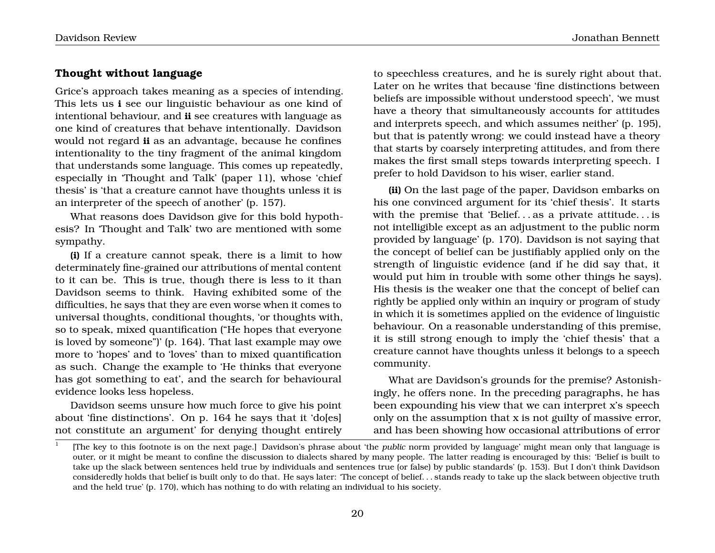## **Thought without language**

Grice's approach takes meaning as a species of intending. This lets us **i** see our linguistic behaviour as one kind of intentional behaviour, and **ii** see creatures with language as one kind of creatures that behave intentionally. Davidson would not regard **ii** as an advantage, because he confines intentionality to the tiny fragment of the animal kingdom that understands some language. This comes up repeatedly, especially in 'Thought and Talk' (paper 11), whose 'chief thesis' is 'that a creature cannot have thoughts unless it is an interpreter of the speech of another' (p. 157).

What reasons does Davidson give for this bold hypothesis? In 'Thought and Talk' two are mentioned with some sympathy.

**(i)** If a creature cannot speak, there is a limit to how determinately fine-grained our attributions of mental content to it can be. This is true, though there is less to it than Davidson seems to think. Having exhibited some of the difficulties, he says that they are even worse when it comes to universal thoughts, conditional thoughts, 'or thoughts with, so to speak, mixed quantification ("He hopes that everyone is loved by someone")' (p. 164). That last example may owe more to 'hopes' and to 'loves' than to mixed quantification as such. Change the example to 'He thinks that everyone has got something to eat', and the search for behavioural evidence looks less hopeless.

Davidson seems unsure how much force to give his point about 'fine distinctions'. On p. 164 he says that it 'do[es] not constitute an argument' for denying thought entirely

to speechless creatures, and he is surely right about that. Later on he writes that because 'fine distinctions between beliefs are impossible without understood speech', 'we must have a theory that simultaneously accounts for attitudes and interprets speech, and which assumes neither' (p. 195), but that is patently wrong: we could instead have a theory that starts by coarsely interpreting attitudes, and from there makes the first small steps towards interpreting speech. I prefer to hold Davidson to his wiser, earlier stand.

**(ii)** On the last page of the paper, Davidson embarks on his one convinced argument for its 'chief thesis'. It starts with the premise that 'Belief. . . as a private attitude. . . is not intelligible except as an adjustment to the public norm provided by language' (p. 170). Davidson is not saying that the concept of belief can be justifiably applied only on the strength of linguistic evidence (and if he did say that, it would put him in trouble with some other things he says). His thesis is the weaker one that the concept of belief can rightly be applied only within an inquiry or program of study in which it is sometimes applied on the evidence of linguistic behaviour. On a reasonable understanding of this premise, it is still strong enough to imply the 'chief thesis' that a creature cannot have thoughts unless it belongs to a speech community.

What are Davidson's grounds for the premise? Astonishingly, he offers none. In the preceding paragraphs, he has been expounding his view that we can interpret x's speech only on the assumption that x is not guilty of massive error, and has been showing how occasional attributions of error

<sup>1</sup> [The key to this footnote is on the next page.] Davidson's phrase about 'the *public* norm provided by language' might mean only that language is outer, or it might be meant to confine the discussion to dialects shared by many people. The latter reading is encouraged by this: 'Belief is built to take up the slack between sentences held true by individuals and sentences true (or false) by public standards' (p. 153). But I don't think Davidson consideredly holds that belief is built only to do that. He says later: 'The concept of belief. . . stands ready to take up the slack between objective truth and the held true' (p. 170), which has nothing to do with relating an individual to his society.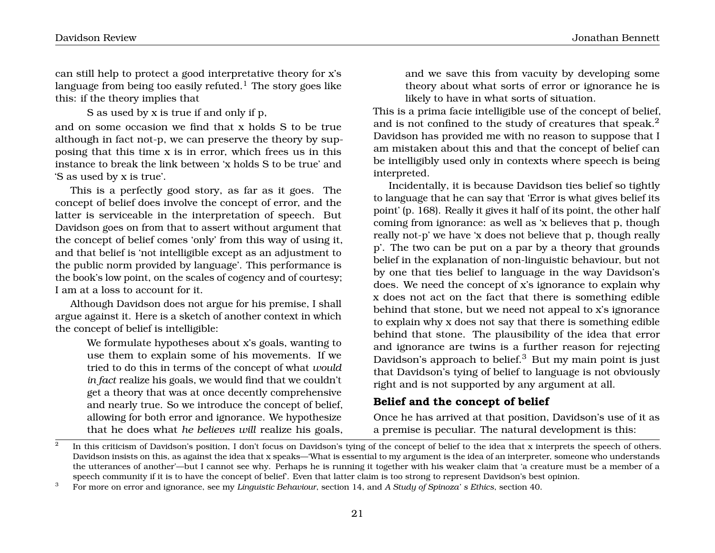can still help to protect a good interpretative theory for x's language from being too easily refuted.<sup>1</sup> The story goes like this: if the theory implies that

S as used by x is true if and only if p, and on some occasion we find that x holds S to be true although in fact not-p, we can preserve the theory by supposing that this time x is in error, which frees us in this instance to break the link between 'x holds S to be true' and 'S as used by x is true'.

This is a perfectly good story, as far as it goes. The concept of belief does involve the concept of error, and the latter is serviceable in the interpretation of speech. But Davidson goes on from that to assert without argument that the concept of belief comes 'only' from this way of using it, and that belief is 'not intelligible except as an adjustment to the public norm provided by language'. This performance is the book's low point, on the scales of cogency and of courtesy; I am at a loss to account for it.

Although Davidson does not argue for his premise, I shall argue against it. Here is a sketch of another context in which the concept of belief is intelligible:

> We formulate hypotheses about x's goals, wanting to use them to explain some of his movements. If we tried to do this in terms of the concept of what *would in fact* realize his goals, we would find that we couldn't get a theory that was at once decently comprehensive and nearly true. So we introduce the concept of belief, allowing for both error and ignorance. We hypothesize that he does what *he believes will* realize his goals,

and we save this from vacuity by developing some theory about what sorts of error or ignorance he is likely to have in what sorts of situation.

This is a prima facie intelligible use of the concept of belief, and is not confined to the study of creatures that speak.<sup>2</sup> Davidson has provided me with no reason to suppose that I am mistaken about this and that the concept of belief can be intelligibly used only in contexts where speech is being interpreted.

Incidentally, it is because Davidson ties belief so tightly to language that he can say that 'Error is what gives belief its point' (p. 168). Really it gives it half of its point, the other half coming from ignorance: as well as 'x believes that p, though really not-p' we have 'x does not believe that p, though really p'. The two can be put on a par by a theory that grounds belief in the explanation of non-linguistic behaviour, but not by one that ties belief to language in the way Davidson's does. We need the concept of x's ignorance to explain why x does not act on the fact that there is something edible behind that stone, but we need not appeal to x's ignorance to explain why x does not say that there is something edible behind that stone. The plausibility of the idea that error and ignorance are twins is a further reason for rejecting Davidson's approach to belief.<sup>3</sup> But my main point is just that Davidson's tying of belief to language is not obviously right and is not supported by any argument at all.

# **Belief and the concept of belief**

Once he has arrived at that position, Davidson's use of it as a premise is peculiar. The natural development is this:

<sup>2</sup> In this criticism of Davidson's position, I don't focus on Davidson's tying of the concept of belief to the idea that x interprets the speech of others. Davidson insists on this, as against the idea that x speaks—'What is essential to my argument is the idea of an interpreter, someone who understands the utterances of another'—but I cannot see why. Perhaps he is running it together with his weaker claim that 'a creature must be a member of a speech community if it is to have the concept of belief'. Even that latter claim is too strong to represent Davidson's best opinion.

<sup>3</sup> For more on error and ignorance, see my *Linguistic Behaviour*, section 14, and *A Study of Spinoza' s Ethics*, section 40.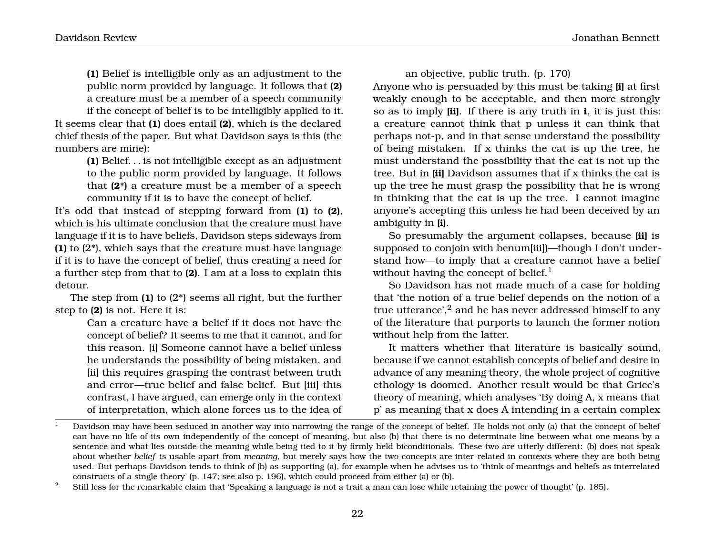**(1)** Belief is intelligible only as an adjustment to the public norm provided by language. It follows that **(2)** a creature must be a member of a speech community if the concept of belief is to be intelligibly applied to it. It seems clear that **(1)** does entail **(2)**, which is the declared chief thesis of the paper. But what Davidson says is this (the numbers are mine):

> **(1)** Belief. . . is not intelligible except as an adjustment to the public norm provided by language. It follows that **(2\*)** a creature must be a member of a speech community if it is to have the concept of belief.

It's odd that instead of stepping forward from **(1)** to **(2)**, which is his ultimate conclusion that the creature must have language if it is to have beliefs, Davidson steps sideways from **(1)** to (2\*), which says that the creature must have language if it is to have the concept of belief, thus creating a need for a further step from that to **(2)**. I am at a loss to explain this detour.

The step from **(1)** to (2\*) seems all right, but the further step to **(2)** is not. Here it is:

> Can a creature have a belief if it does not have the concept of belief? It seems to me that it cannot, and for this reason. [i] Someone cannot have a belief unless he understands the possibility of being mistaken, and [ii] this requires grasping the contrast between truth and error—true belief and false belief. But [iii] this contrast, I have argued, can emerge only in the context of interpretation, which alone forces us to the idea of

an objective, public truth. (p. 170) Anyone who is persuaded by this must be taking **[i]** at first weakly enough to be acceptable, and then more strongly so as to imply **[ii]**. If there is any truth in **i**, it is just this: a creature cannot think that p unless it can think that perhaps not-p, and in that sense understand the possibility of being mistaken. If x thinks the cat is up the tree, he must understand the possibility that the cat is not up the tree. But in **[ii]** Davidson assumes that if x thinks the cat is up the tree he must grasp the possibility that he is wrong in thinking that the cat is up the tree. I cannot imagine anyone's accepting this unless he had been deceived by an ambiguity in **[i]**.

So presumably the argument collapses, because **[ii]** is supposed to conjoin with benum[iii])—though I don't understand how—to imply that a creature cannot have a belief without having the concept of belief.<sup>1</sup>

So Davidson has not made much of a case for holding that 'the notion of a true belief depends on the notion of a true utterance',<sup>2</sup> and he has never addressed himself to any of the literature that purports to launch the former notion without help from the latter.

It matters whether that literature is basically sound, because if we cannot establish concepts of belief and desire in advance of any meaning theory, the whole project of cognitive ethology is doomed. Another result would be that Grice's theory of meaning, which analyses 'By doing A, x means that p' as meaning that x does A intending in a certain complex

<sup>2</sup> Still less for the remarkable claim that 'Speaking a language is not a trait a man can lose while retaining the power of thought' (p. 185).

<sup>1</sup> Davidson may have been seduced in another way into narrowing the range of the concept of belief. He holds not only (a) that the concept of belief can have no life of its own independently of the concept of meaning, but also (b) that there is no determinate line between what one means by a sentence and what lies outside the meaning while being tied to it by firmly held biconditionals. These two are utterly different: (b) does not speak about whether *belief* is usable apart from *meaning*, but merely says how the two concepts are inter-related in contexts where they are both being used. But perhaps Davidson tends to think of (b) as supporting (a), for example when he advises us to 'think of meanings and beliefs as interrelated constructs of a single theory' (p. 147; see also p. 196), which could proceed from either (a) or (b).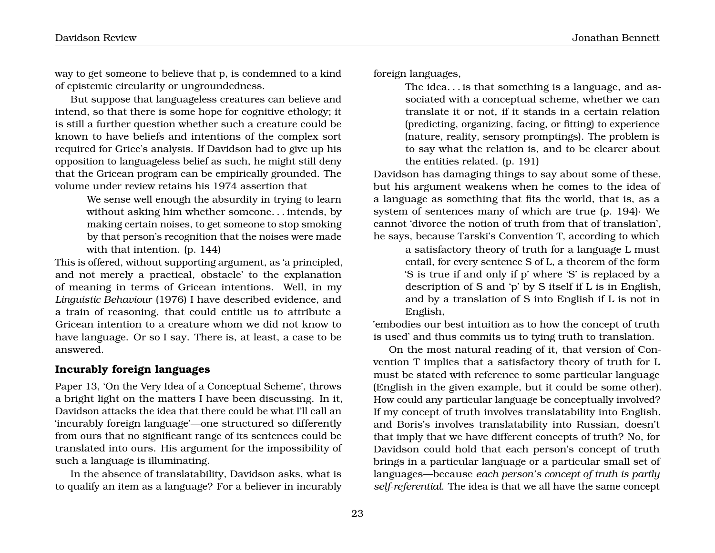way to get someone to believe that p, is condemned to a kind of epistemic circularity or ungroundedness.

But suppose that languageless creatures can believe and intend, so that there is some hope for cognitive ethology; it is still a further question whether such a creature could be known to have beliefs and intentions of the complex sort required for Grice's analysis. If Davidson had to give up his opposition to languageless belief as such, he might still deny that the Gricean program can be empirically grounded. The volume under review retains his 1974 assertion that

> We sense well enough the absurdity in trying to learn without asking him whether someone. . . intends, by making certain noises, to get someone to stop smoking by that person's recognition that the noises were made with that intention. (p. 144)

This is offered, without supporting argument, as 'a principled, and not merely a practical, obstacle' to the explanation of meaning in terms of Gricean intentions. Well, in my *Linguistic Behaviour* (1976) I have described evidence, and a train of reasoning, that could entitle us to attribute a Gricean intention to a creature whom we did not know to have language. Or so I say. There is, at least, a case to be answered.

#### **Incurably foreign languages**

Paper 13, 'On the Very Idea of a Conceptual Scheme', throws a bright light on the matters I have been discussing. In it, Davidson attacks the idea that there could be what I'll call an 'incurably foreign language'—one structured so differently from ours that no significant range of its sentences could be translated into ours. His argument for the impossibility of such a language is illuminating.

In the absence of translatability, Davidson asks, what is to qualify an item as a language? For a believer in incurably foreign languages,

The idea. . . is that something is a language, and associated with a conceptual scheme, whether we can translate it or not, if it stands in a certain relation (predicting, organizing, facing, or fitting) to experience (nature, reality, sensory promptings). The problem is to say what the relation is, and to be clearer about the entities related. (p. 191)

Davidson has damaging things to say about some of these, but his argument weakens when he comes to the idea of a language as something that fits the world, that is, as a system of sentences many of which are true (p. 194)· We cannot 'divorce the notion of truth from that of translation', he says, because Tarski's Convention T, according to which

> a satisfactory theory of truth for a language L must entail, for every sentence S of L, a theorem of the form 'S is true if and only if p' where 'S' is replaced by a description of S and 'p' by S itself if L is in English, and by a translation of S into English if L is not in English,

'embodies our best intuition as to how the concept of truth is used' and thus commits us to tying truth to translation.

On the most natural reading of it, that version of Convention T implies that a satisfactory theory of truth for L must be stated with reference to some particular language (English in the given example, but it could be some other). How could any particular language be conceptually involved? If my concept of truth involves translatability into English, and Boris's involves translatability into Russian, doesn't that imply that we have different concepts of truth? No, for Davidson could hold that each person's concept of truth brings in a particular language or a particular small set of languages—because *each person's concept of truth is partly self-referential*. The idea is that we all have the same concept